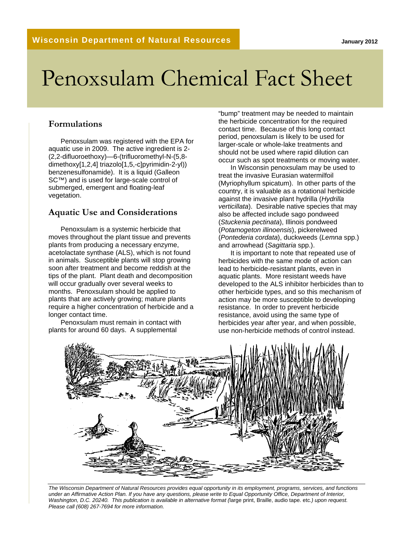# Penoxsulam Chemical Fact Sheet

#### **Formulations**

Penoxsulam was registered with the EPA for aquatic use in 2009. The active ingredient is 2- (2,2-difluoroethoxy)—6-(trifluoromethyl-N-(5,8 dimethoxy[1,2,4] triazolo[1,5,-c]pyrimidin-2-yl)) benzenesulfonamide). It is a liquid (Galleon SC™) and is used for large-scale control of submerged, emergent and floating-leaf vegetation.

#### **Aquatic Use and Considerations**

Penoxsulam is a systemic herbicide that moves throughout the plant tissue and prevents plants from producing a necessary enzyme, acetolactate synthase (ALS), which is not found in animals. Susceptible plants will stop growing soon after treatment and become reddish at the tips of the plant. Plant death and decomposition will occur gradually over several weeks to months. Penoxsulam should be applied to plants that are actively growing; mature plants require a higher concentration of herbicide and a longer contact time.

Penoxsulam must remain in contact with plants for around 60 days. A supplemental

"bump" treatment may be needed to maintain the herbicide concentration for the required contact time. Because of this long contact period, penoxsulam is likely to be used for larger-scale or whole-lake treatments and should not be used where rapid dilution can occur such as spot treatments or moving water.

In Wisconsin penoxsulam may be used to treat the invasive Eurasian watermilfoil (Myriophyllum spicatum). In other parts of the country, it is valuable as a rotational herbicide against the invasive plant hydrilla (*Hydrilla verticillata*). Desirable native species that may also be affected include sago pondweed (*Stuckenia pectinata*), Illinois pondweed (*Potamogeton illinoensis*), pickerelweed (*Pontederia cordata*), duckweeds (*Lemna* spp.) and arrowhead (*Sagittaria* spp.).

It is important to note that repeated use of herbicides with the same mode of action can lead to herbicide-resistant plants, even in aquatic plants. More resistant weeds have developed to the ALS inhibitor herbicides than to other herbicide types, and so this mechanism of action may be more susceptible to developing resistance. In order to prevent herbicide resistance, avoid using the same type of herbicides year after year, and when possible, use non-herbicide methods of control instead.



*The Wisconsin Department of Natural Resources provides equal opportunity in its employment, programs, services, and functions under an Affirmative Action Plan. If you have any questions, please write to Equal Opportunity Office, Department of Interior, Washington, D.C. 20240. This publication is available in alternative format (*large print, Braille, audio tape. etc*.) upon request. Please call (608) 267-7694 for more information.*